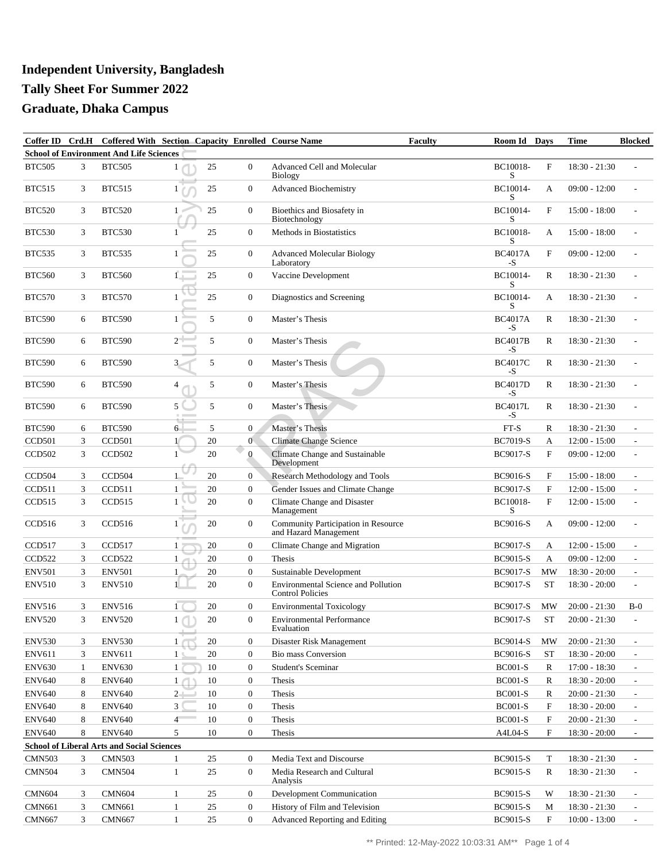## **Independent University, Bangladesh Tally Sheet For Summer 2022 Graduate, Dhaka Campus**

| Coffer ID                                      |   | Crd.H Coffered With Section Capacity Enrolled Course Name |                      |                  |                                                                       | <b>Faculty</b><br>Room Id | <b>Days</b>  | Time            | <b>Blocked</b>           |  |  |  |
|------------------------------------------------|---|-----------------------------------------------------------|----------------------|------------------|-----------------------------------------------------------------------|---------------------------|--------------|-----------------|--------------------------|--|--|--|
| <b>School of Environment And Life Sciences</b> |   |                                                           |                      |                  |                                                                       |                           |              |                 |                          |  |  |  |
| <b>BTC505</b>                                  | 3 | <b>BTC505</b>                                             | 25<br>$\mathbf{1}$   | $\overline{0}$   | <b>Advanced Cell and Molecular</b><br><b>Biology</b>                  | BC10018-<br>S             | $\mathbf{F}$ | $18:30 - 21:30$ |                          |  |  |  |
| <b>BTC515</b>                                  | 3 | <b>BTC515</b>                                             | 25<br>1              | $\overline{0}$   | <b>Advanced Biochemistry</b>                                          | BC10014-<br>S             | A            | $09:00 - 12:00$ |                          |  |  |  |
| <b>BTC520</b>                                  | 3 | <b>BTC520</b>                                             | 25<br>$\mathbf{1}$   | $\overline{0}$   | Bioethics and Biosafety in<br>Biotechnology                           | BC10014-<br>S             | $\mathbf{F}$ | $15:00 - 18:00$ |                          |  |  |  |
| <b>BTC530</b>                                  | 3 | <b>BTC530</b>                                             | 25<br>1              | $\overline{0}$   | Methods in Biostatistics                                              | BC10018-<br>S             | A            | $15:00 - 18:00$ |                          |  |  |  |
| <b>BTC535</b>                                  | 3 | <b>BTC535</b>                                             | $\mathbf{1}$<br>25   | $\overline{0}$   | <b>Advanced Molecular Biology</b><br>Laboratory                       | <b>BC4017A</b><br>-S      | $\mathbf{F}$ | $09:00 - 12:00$ |                          |  |  |  |
| <b>BTC560</b>                                  | 3 | <b>BTC560</b>                                             | $1 -$<br>25          | $\overline{0}$   | Vaccine Development                                                   | BC10014-<br>S             | $\mathbb{R}$ | $18:30 - 21:30$ |                          |  |  |  |
| <b>BTC570</b>                                  | 3 | <b>BTC570</b>                                             | $\mathbf{1}$<br>25   | $\overline{0}$   | Diagnostics and Screening                                             | BC10014-<br>S             | A            | $18:30 - 21:30$ |                          |  |  |  |
| <b>BTC590</b>                                  | 6 | <b>BTC590</b>                                             | 5<br>$\mathbf{1}$    | $\overline{0}$   | Master's Thesis                                                       | <b>BC4017A</b><br>-S      | $\mathbb{R}$ | $18:30 - 21:30$ |                          |  |  |  |
| <b>BTC590</b>                                  | 6 | <b>BTC590</b>                                             | 5<br>$2^{-}$         | $\overline{0}$   | Master's Thesis                                                       | <b>BC4017B</b><br>-S      | $\mathbb{R}$ | $18:30 - 21:30$ |                          |  |  |  |
| <b>BTC590</b>                                  | 6 | <b>BTC590</b>                                             | 5<br>3               | $\overline{0}$   | Master's Thesis                                                       | <b>BC4017C</b><br>-S      | $\mathbb{R}$ | $18:30 - 21:30$ |                          |  |  |  |
| <b>BTC590</b>                                  | 6 | <b>BTC590</b>                                             | 5<br>4               | $\overline{0}$   | Master's Thesis                                                       | <b>BC4017D</b><br>-S      | $\mathbb{R}$ | $18:30 - 21:30$ |                          |  |  |  |
| <b>BTC590</b>                                  | 6 | <b>BTC590</b>                                             | 5<br>5               | $\overline{0}$   | Master's Thesis                                                       | <b>BC4017L</b><br>-S      | $\mathbb{R}$ | $18:30 - 21:30$ |                          |  |  |  |
| <b>BTC590</b>                                  | 6 | <b>BTC590</b>                                             | 6<br>5               | $\overline{0}$   | Master's Thesis                                                       | $FT-S$                    | $\mathbb{R}$ | $18:30 - 21:30$ |                          |  |  |  |
| <b>CCD501</b>                                  | 3 | <b>CCD501</b>                                             | 20                   | $\overline{0}$   | <b>Climate Change Science</b>                                         | <b>BC7019-S</b>           | A            | $12:00 - 15:00$ |                          |  |  |  |
| <b>CCD502</b>                                  | 3 | <b>CCD502</b>                                             | 20<br>1              | $\overline{0}$   | Climate Change and Sustainable<br>Development                         | <b>BC9017-S</b>           | $_{\rm F}$   | $09:00 - 12:00$ |                          |  |  |  |
| CCD504                                         | 3 | CCD504                                                    | $\mathbf{1}$<br>20   | $\overline{0}$   | Research Methodology and Tools                                        | <b>BC9016-S</b>           | $\mathbf F$  | $15:00 - 18:00$ |                          |  |  |  |
| CCD511                                         | 3 | CCD511                                                    | 20<br>1              | $\overline{0}$   | Gender Issues and Climate Change                                      | <b>BC9017-S</b>           | $\mathbf F$  | $12:00 - 15:00$ |                          |  |  |  |
| CCD515                                         | 3 | CCD515                                                    | 20<br>$\mathbf{1}$   | $\overline{0}$   | Climate Change and Disaster<br>Management                             | BC10018-<br>S             | $\mathbf{F}$ | $12:00 - 15:00$ |                          |  |  |  |
| CCD516                                         | 3 | CCD516                                                    | 20<br>1              | $\overline{0}$   | Community Participation in Resource<br>and Hazard Management          | <b>BC9016-S</b>           | A            | $09:00 - 12:00$ |                          |  |  |  |
| <b>CCD517</b>                                  | 3 | CCD517                                                    | 20<br>$\mathbf{1}$   | $\overline{0}$   | Climate Change and Migration                                          | <b>BC9017-S</b>           | A            | $12:00 - 15:00$ |                          |  |  |  |
| <b>CCD522</b>                                  | 3 | <b>CCD522</b>                                             | 20<br>1              | $\overline{0}$   | <b>Thesis</b>                                                         | <b>BC9015-S</b>           | A            | $09:00 - 12:00$ |                          |  |  |  |
| <b>ENV501</b>                                  | 3 | <b>ENV501</b>                                             | 20<br>1              | $\overline{0}$   | <b>Sustainable Development</b>                                        | <b>BC9017-S</b>           | MW           | $18:30 - 20:00$ | $\sim$                   |  |  |  |
| <b>ENV510</b>                                  | 3 | <b>ENV510</b>                                             | 20                   | $\overline{0}$   | <b>Environmental Science and Pollution</b><br><b>Control Policies</b> | <b>BC9017-S</b>           | <b>ST</b>    | $18:30 - 20:00$ |                          |  |  |  |
| <b>ENV516</b>                                  | 3 | <b>ENV516</b>                                             | 20<br>1              | $\overline{0}$   | <b>Environmental Toxicology</b>                                       | <b>BC9017-S</b>           | MW           | $20:00 - 21:30$ | $B-0$                    |  |  |  |
| <b>ENV520</b>                                  | 3 | <b>ENV520</b>                                             | 20<br>$\mathbf{1}$   | $\boldsymbol{0}$ | <b>Environmental Performance</b><br>Evaluation                        | <b>BC9017-S</b>           | <b>ST</b>    | $20:00 - 21:30$ |                          |  |  |  |
| <b>ENV530</b>                                  | 3 | <b>ENV530</b>                                             | 20<br>1/             | $\boldsymbol{0}$ | Disaster Risk Management                                              | <b>BC9014-S</b>           | MW           | $20:00 - 21:30$ | $\overline{\phantom{a}}$ |  |  |  |
| <b>ENV611</b>                                  | 3 | <b>ENV611</b>                                             | 20<br>1 <sup>5</sup> | $\overline{0}$   | <b>Bio mass Conversion</b>                                            | <b>BC9016-S</b>           | <b>ST</b>    | $18:30 - 20:00$ | $\overline{\phantom{a}}$ |  |  |  |
| <b>ENV630</b>                                  | 1 | <b>ENV630</b>                                             | 10<br>1 <sup>1</sup> | $\overline{0}$   | <b>Student's Sceminar</b>                                             | <b>BC001-S</b>            | R            | $17:00 - 18:30$ | $\overline{\phantom{a}}$ |  |  |  |
| <b>ENV640</b>                                  | 8 | <b>ENV640</b>                                             | 10<br>$1 \cap$       | $\overline{0}$   | Thesis                                                                | <b>BC001-S</b>            | R            | $18:30 - 20:00$ | $\overline{\phantom{a}}$ |  |  |  |
| <b>ENV640</b>                                  | 8 | <b>ENV640</b>                                             | 10<br>$2 -$          | $\overline{0}$   | Thesis                                                                | <b>BC001-S</b>            | R            | $20:00 - 21:30$ | $\overline{\phantom{a}}$ |  |  |  |
| <b>ENV640</b>                                  | 8 | <b>ENV640</b>                                             | 3<br>10              | $\overline{0}$   | Thesis                                                                | <b>BC001-S</b>            | F            | $18:30 - 20:00$ | $\overline{\phantom{a}}$ |  |  |  |
| <b>ENV640</b>                                  | 8 | <b>ENV640</b>                                             | 10<br>$\overline{4}$ | $\overline{0}$   | Thesis                                                                | <b>BC001-S</b>            | F            | $20:00 - 21:30$ | $\overline{\phantom{a}}$ |  |  |  |
| <b>ENV640</b>                                  | 8 | <b>ENV640</b>                                             | 5<br>10              | $\overline{0}$   | Thesis                                                                | $A4L04-S$                 | $_{\rm F}$   | $18:30 - 20:00$ | $\blacksquare$           |  |  |  |
|                                                |   | <b>School of Liberal Arts and Social Sciences</b>         |                      |                  |                                                                       |                           |              |                 |                          |  |  |  |
| <b>CMN503</b>                                  | 3 | <b>CMN503</b>                                             | 25<br>$\mathbf{1}$   | $\mathbf{0}$     | Media Text and Discourse                                              | <b>BC9015-S</b>           | T            | $18:30 - 21:30$ | $\overline{\phantom{a}}$ |  |  |  |
| <b>CMN504</b>                                  | 3 | <b>CMN504</b>                                             | 25<br>$\mathbf{1}$   | $\overline{0}$   | Media Research and Cultural<br>Analysis                               | <b>BC9015-S</b>           | R            | $18:30 - 21:30$ |                          |  |  |  |
| <b>CMN604</b>                                  | 3 | <b>CMN604</b>                                             | $\mathbf{1}$<br>25   | $\mathbf{0}$     | Development Communication                                             | <b>BC9015-S</b>           | W            | 18:30 - 21:30   | $\overline{\phantom{a}}$ |  |  |  |
| <b>CMN661</b>                                  | 3 | <b>CMN661</b>                                             | $\mathbf{1}$<br>25   | $\overline{0}$   | History of Film and Television                                        | <b>BC9015-S</b>           | M            | $18:30 - 21:30$ | $\blacksquare$           |  |  |  |
| <b>CMN667</b>                                  | 3 | <b>CMN667</b>                                             | $\mathbf{1}$<br>25   | $\overline{0}$   | Advanced Reporting and Editing                                        | <b>BC9015-S</b>           | $_{\rm F}$   | $10:00 - 13:00$ |                          |  |  |  |
|                                                |   |                                                           |                      |                  |                                                                       |                           |              |                 |                          |  |  |  |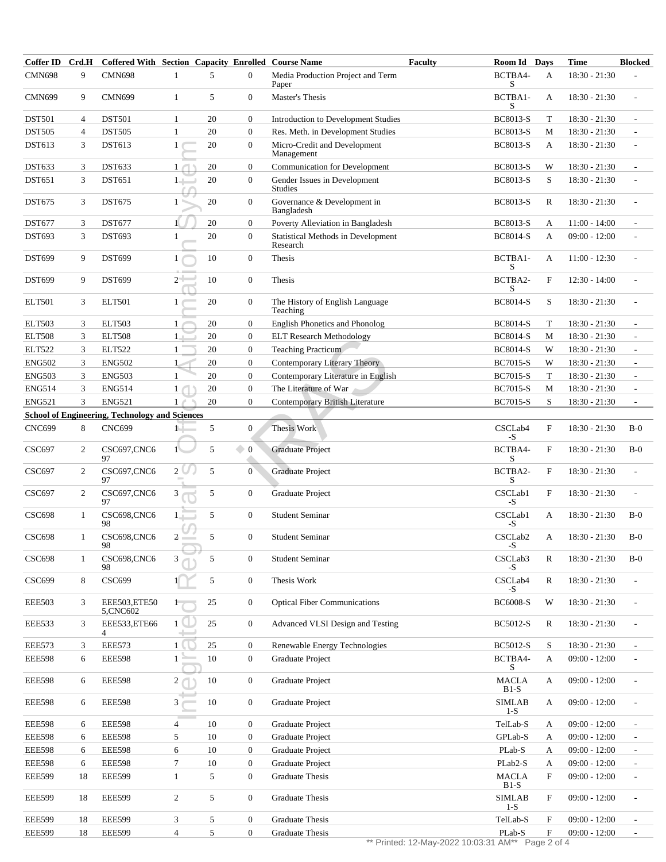| Coffer ID     | Crd.H          | <b>Coffered With Section Capacity Enrolled Course Name</b> |                 |    |                             |                                                       | <b>Faculty</b><br><b>Room Id Days</b> |                           | Time            | <b>Blocked</b>           |
|---------------|----------------|------------------------------------------------------------|-----------------|----|-----------------------------|-------------------------------------------------------|---------------------------------------|---------------------------|-----------------|--------------------------|
| <b>CMN698</b> | 9              | <b>CMN698</b>                                              |                 | 5  | $\Omega$                    | Media Production Project and Term<br>Paper            | BCTBA4-<br>S                          | A                         | $18:30 - 21:30$ |                          |
| <b>CMN699</b> | 9              | <b>CMN699</b>                                              | $\mathbf{1}$    | 5  | $\mathbf{0}$                | Master's Thesis                                       | BCTBA1-<br>S                          | A                         | $18:30 - 21:30$ | $\overline{a}$           |
| <b>DST501</b> | $\overline{4}$ | <b>DST501</b>                                              | 1               | 20 | $\mathbf{0}$                | <b>Introduction to Development Studies</b>            | <b>BC8013-S</b>                       | T                         | $18:30 - 21:30$ |                          |
| <b>DST505</b> | 4              | <b>DST505</b>                                              | $\mathbf{1}$    | 20 | $\boldsymbol{0}$            | Res. Meth. in Development Studies                     | <b>BC8013-S</b>                       | M                         | $18:30 - 21:30$ | $\overline{\phantom{a}}$ |
| <b>DST613</b> | 3              | <b>DST613</b>                                              | $\mathbf{1}$    | 20 | $\mathbf{0}$                | Micro-Credit and Development<br>Management            | <b>BC8013-S</b>                       | A                         | 18:30 - 21:30   |                          |
| <b>DST633</b> | 3              | <b>DST633</b>                                              | $1\subset$      | 20 | $\mathbf{0}$                | <b>Communication for Development</b>                  | <b>BC8013-S</b>                       | W                         | $18:30 - 21:30$ |                          |
| <b>DST651</b> | 3              | <b>DST651</b>                                              | $1 \rightarrow$ | 20 | $\overline{0}$              | Gender Issues in Development<br><b>Studies</b>        | <b>BC8013-S</b>                       | S                         | $18:30 - 21:30$ |                          |
| <b>DST675</b> | 3              | <b>DST675</b>                                              | $\mathbf{1}$    | 20 | $\mathbf{0}$                | Governance & Development in<br>Bangladesh             | <b>BC8013-S</b>                       | $\mathbb{R}$              | $18:30 - 21:30$ | $\overline{a}$           |
| <b>DST677</b> | 3              | <b>DST677</b>                                              |                 | 20 | $\overline{0}$              | Poverty Alleviation in Bangladesh                     | <b>BC8013-S</b>                       | A                         | $11:00 - 14:00$ |                          |
| <b>DST693</b> | 3              | <b>DST693</b>                                              | $\mathbf{1}$    | 20 | $\mathbf{0}$                | <b>Statistical Methods in Development</b><br>Research | <b>BC8014-S</b>                       | A                         | $09:00 - 12:00$ |                          |
| <b>DST699</b> | 9              | <b>DST699</b>                                              | 1               | 10 | $\mathbf{0}$                | Thesis                                                | BCTBA1-<br>S                          | A                         | $11:00 - 12:30$ |                          |
| <b>DST699</b> | 9              | <b>DST699</b>                                              | $2+$            | 10 | $\mathbf{0}$                | Thesis                                                | BCTBA2-<br>S                          | $\mathbf{F}$              | $12:30 - 14:00$ | $\overline{a}$           |
| <b>ELT501</b> | 3              | <b>ELT501</b>                                              | 1               | 20 | $\mathbf{0}$                | The History of English Language<br>Teaching           | <b>BC8014-S</b>                       | S                         | $18:30 - 21:30$ |                          |
| <b>ELT503</b> | 3              | <b>ELT503</b>                                              | $\mathbf{1}$    | 20 | $\mathbf{0}$                | English Phonetics and Phonolog                        | <b>BC8014-S</b>                       | T                         | $18:30 - 21:30$ |                          |
| <b>ELT508</b> | 3              | <b>ELT508</b>                                              | 1               | 20 | $\mathbf{0}$                | <b>ELT Research Methodology</b>                       | <b>BC8014-S</b>                       | M                         | $18:30 - 21:30$ |                          |
| <b>ELT522</b> | 3              | <b>ELT522</b>                                              | 1               | 20 | $\mathbf{0}$                | <b>Teaching Practicum</b>                             | <b>BC8014-S</b>                       | W                         | $18:30 - 21:30$ |                          |
| <b>ENG502</b> | 3              | <b>ENG502</b>                                              | $\mathbf{1}$    | 20 | $\mathbf{0}$                | Contemporary Literary Theory                          | <b>BC7015-S</b>                       | W                         | $18:30 - 21:30$ |                          |
| <b>ENG503</b> | 3              | <b>ENG503</b>                                              | $\mathbf{1}$    | 20 | $\mathbf{0}$                | Contemporary Literature in English                    | <b>BC7015-S</b>                       | T                         | $18:30 - 21:30$ |                          |
| <b>ENG514</b> | 3              | <b>ENG514</b>                                              | $1\subset$      | 20 | $\mathbf{0}$                | The Literature of War                                 | <b>BC7015-S</b>                       | M                         | $18:30 - 21:30$ |                          |
| <b>ENG521</b> | 3              | <b>ENG521</b>                                              | 1 <sub>1</sub>  | 20 | $\mathbf{0}$                | <b>Contemporary British Literature</b>                | <b>BC7015-S</b>                       | S                         | $18:30 - 21:30$ |                          |
|               |                | <b>School of Engineering, Technology and Sciences</b>      |                 |    |                             |                                                       |                                       |                           |                 |                          |
| <b>CNC699</b> | 8              | <b>CNC699</b>                                              |                 | 5  | $\overline{0}$              | <b>Thesis Work</b>                                    | CSCLab4<br>-S                         | $\mathbf F$               | $18:30 - 21:30$ | $B-0$                    |
| <b>CSC697</b> | 2              | CSC697,CNC6<br>97                                          |                 | 5  | $\bullet$<br>$\overline{0}$ | <b>Graduate Project</b>                               | BCTBA4-<br>S                          | $\mathbf{F}$              | $18:30 - 21:30$ | $B-0$                    |
| <b>CSC697</b> | 2              | CSC697,CNC6<br>97                                          | 2 <sup>°</sup>  | 5  | $\overline{0}$              | <b>Graduate Project</b>                               | BCTBA2-<br>S                          | $\mathbf F$               | $18:30 - 21:30$ |                          |
| <b>CSC697</b> | 2              | CSC697,CNC6<br>97                                          | 3               | 5  | $\mathbf{0}$                | Graduate Project                                      | CSCLab1<br>-S                         | $\boldsymbol{\mathrm{F}}$ | $18:30 - 21:30$ |                          |
| <b>CSC698</b> | $\mathbf{1}$   | CSC698.CNC6<br>98                                          | $1^-$           | 5  | $\mathbf{0}$                | <b>Student Seminar</b>                                | CSCLab1<br>-S                         | A                         | $18:30 - 21:30$ | $B-0$                    |
| <b>CSC698</b> | 1              | CSC698,CNC6<br>98                                          | $2 -$           | 5  | $\boldsymbol{0}$            | <b>Student Seminar</b>                                | CSCLab2<br>-S                         | A                         | $18:30 - 21:30$ | $B-0$                    |
| <b>CSC698</b> | 1              | CSC698,CNC6<br>98                                          | 3               | 5  | $\mathbf{0}$                | <b>Student Seminar</b>                                | CSCLab3<br>-S                         | R                         | $18:30 - 21:30$ | $B-0$                    |
| <b>CSC699</b> | 8              | <b>CSC699</b>                                              |                 | 5  | $\boldsymbol{0}$            | Thesis Work                                           | CSCLab4<br>$-S$                       | $\mathbb{R}$              | 18:30 - 21:30   | $\overline{\phantom{a}}$ |
| <b>EEE503</b> | 3              | EEE503,ETE50<br>5,CNC602                                   | $1^{-}$         | 25 | $\boldsymbol{0}$            | <b>Optical Fiber Communications</b>                   | <b>BC6008-S</b>                       | W                         | $18:30 - 21:30$ |                          |
| <b>EEE533</b> | 3              | EEE533, ETE66<br>4                                         | 1 <sup>1</sup>  | 25 | $\boldsymbol{0}$            | Advanced VLSI Design and Testing                      | <b>BC5012-S</b>                       | R                         | $18:30 - 21:30$ | ÷,                       |
| <b>EEE573</b> | 3              | <b>EEE573</b>                                              | $\mathbf{1}$    | 25 | $\mathbf{0}$                | Renewable Energy Technologies                         | <b>BC5012-S</b>                       | S                         | $18:30 - 21:30$ | $\overline{\phantom{a}}$ |
| <b>EEE598</b> | 6              | <b>EEE598</b>                                              | $1 =$           | 10 | $\mathbf{0}$                | Graduate Project                                      | BCTBA4-<br>S                          | A                         | $09:00 - 12:00$ | $\overline{\phantom{a}}$ |
| <b>EEE598</b> | 6              | <b>EEE598</b>                                              | $\overline{2}$  | 10 | $\boldsymbol{0}$            | Graduate Project                                      | <b>MACLA</b><br>$B1-S$                | A                         | $09:00 - 12:00$ |                          |
| <b>EEE598</b> | 6              | <b>EEE598</b>                                              | 3               | 10 | $\boldsymbol{0}$            | Graduate Project                                      | <b>SIMLAB</b><br>$1-S$                | A                         | $09:00 - 12:00$ | ÷,                       |
| <b>EEE598</b> | 6              | <b>EEE598</b>                                              | 4               | 10 | $\mathbf{0}$                | Graduate Project                                      | TelLab-S                              | A                         | $09:00 - 12:00$ | $\overline{\phantom{a}}$ |
| <b>EEE598</b> | 6              | <b>EEE598</b>                                              | 5               | 10 | $\mathbf{0}$                | Graduate Project                                      | GPLab-S                               | A                         | $09:00 - 12:00$ | $\overline{\phantom{a}}$ |
| <b>EEE598</b> | 6              | <b>EEE598</b>                                              | 6               | 10 | $\mathbf{0}$                | Graduate Project                                      | $\rm{PLab}\text{-}\rm{S}$             | A                         | $09:00 - 12:00$ | $\overline{\phantom{a}}$ |
| <b>EEE598</b> | 6              | <b>EEE598</b>                                              | $\tau$          | 10 | $\boldsymbol{0}$            | Graduate Project                                      | PLab2-S                               | A                         | $09:00 - 12:00$ | $\overline{\phantom{a}}$ |
| <b>EEE599</b> | 18             | <b>EEE599</b>                                              | $\mathbf{1}$    | 5  | $\boldsymbol{0}$            | Graduate Thesis                                       | <b>MACLA</b>                          | $_{\rm F}$                | $09:00 - 12:00$ | $\overline{\phantom{a}}$ |
| <b>EEE599</b> | 18             | <b>EEE599</b>                                              | $\overline{c}$  | 5  | $\mathbf{0}$                | Graduate Thesis                                       | $B1-S$<br><b>SIMLAB</b>               | $_{\rm F}$                | $09:00 - 12:00$ |                          |
| <b>EEE599</b> | 18             | <b>EEE599</b>                                              | 3               | 5  | $\mathbf{0}$                | <b>Graduate Thesis</b>                                | $1-S$<br>TelLab-S                     | F                         | $09:00 - 12:00$ | $\overline{\phantom{a}}$ |
| <b>EEE599</b> | 18             | <b>EEE599</b>                                              | $\overline{4}$  | 5  | $\boldsymbol{0}$            | <b>Graduate Thesis</b>                                | PLab-S                                | F                         | $09:00 - 12:00$ |                          |
|               |                |                                                            |                 |    |                             |                                                       |                                       |                           |                 |                          |

\*\* Printed: 12-May-2022 10:03:31 AM\*\* Page 2 of 4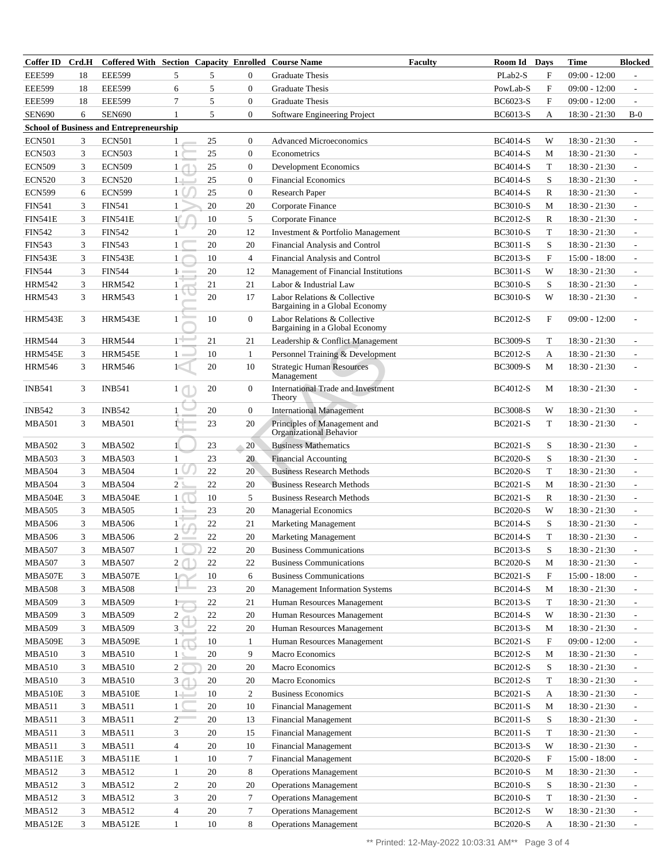| Coffer ID Crd.H |    | Coffered With Section Capacity Enrolled Course Name |                   |        |                |                                                     | <b>Faculty</b><br>Room Id Days |              | Time            | <b>Blocked</b>               |
|-----------------|----|-----------------------------------------------------|-------------------|--------|----------------|-----------------------------------------------------|--------------------------------|--------------|-----------------|------------------------------|
| <b>EEE599</b>   | 18 | <b>EEE599</b>                                       | 5                 | 5      | $\Omega$       | <b>Graduate Thesis</b>                              | PLab2-S                        | $\mathbf F$  | $09:00 - 12:00$ |                              |
| <b>EEE599</b>   | 18 | <b>EEE599</b>                                       | 6                 | 5      | $\overline{0}$ | <b>Graduate Thesis</b>                              | PowLab-S                       | $\mathbf F$  | $09:00 - 12:00$ | $\overline{a}$               |
| <b>EEE599</b>   | 18 | <b>EEE599</b>                                       | $\tau$            | 5      | $\overline{0}$ | <b>Graduate Thesis</b>                              | BC6023-S                       | $\mathbf F$  | $09:00 - 12:00$ | L.                           |
| <b>SEN690</b>   | 6  | <b>SEN690</b>                                       | $\mathbf{1}$      | 5      | $\overline{0}$ | Software Engineering Project                        | BC6013-S                       | A            | $18:30 - 21:30$ | $B-0$                        |
|                 |    | <b>School of Business and Entrepreneurship</b>      |                   |        |                |                                                     |                                |              |                 |                              |
| <b>ECN501</b>   | 3  | <b>ECN501</b>                                       | 1                 | 25     | $\overline{0}$ | <b>Advanced Microeconomics</b>                      | <b>BC4014-S</b>                | W            | $18:30 - 21:30$ |                              |
| <b>ECN503</b>   | 3  | <b>ECN503</b>                                       | $\mathbf{1}$      | 25     | $\overline{0}$ | Econometrics                                        | <b>BC4014-S</b>                | M            | $18:30 - 21:30$ | L.                           |
| <b>ECN509</b>   | 3  | <b>ECN509</b>                                       | 1/                | 25     | $\overline{0}$ | <b>Development Economics</b>                        | <b>BC4014-S</b>                | T            | $18:30 - 21:30$ | $\overline{a}$               |
| <b>ECN520</b>   | 3  | <b>ECN520</b>                                       | $1 -$             | 25     | $\overline{0}$ | <b>Financial Economics</b>                          | <b>BC4014-S</b>                | $\mathbf S$  | $18:30 - 21:30$ | L.                           |
| <b>ECN599</b>   | 6  | <b>ECN599</b>                                       | 1 <sup>°</sup>    | 25     | $\overline{0}$ | <b>Research Paper</b>                               | <b>BC4014-S</b>                | $\mathbb{R}$ | $18:30 - 21:30$ | L.                           |
| <b>FIN541</b>   | 3  | <b>FIN541</b>                                       | $\mathbf{1}$      | 20     | 20             | Corporate Finance                                   | <b>BC3010-S</b>                | M            | $18:30 - 21:30$ | L.                           |
| <b>FIN541E</b>  | 3  | <b>FIN541E</b>                                      | 1 <sup>7</sup>    | 10     | 5              | Corporate Finance                                   | <b>BC2012-S</b>                | $\mathbb{R}$ | $18:30 - 21:30$ | L.                           |
| <b>FIN542</b>   | 3  | <b>FIN542</b>                                       | -1                | 20     | 12             | Investment & Portfolio Management                   | <b>BC3010-S</b>                | T            | $18:30 - 21:30$ | L.                           |
| <b>FIN543</b>   | 3  | <b>FIN543</b>                                       | $\mathbf{1}$      | 20     | 20             | Financial Analysis and Control                      | <b>BC3011-S</b>                | $\mathbf S$  | $18:30 - 21:30$ | L.                           |
| <b>FIN543E</b>  | 3  | <b>FIN543E</b>                                      | $\mathbf{1}$      | 10     | $\overline{4}$ | Financial Analysis and Control                      | <b>BC2013-S</b>                | $\mathbf F$  | $15:00 - 18:00$ | L.                           |
| <b>FIN544</b>   | 3  | <b>FIN544</b>                                       | $1 -$             | 20     | 12             | Management of Financial Institutions                | <b>BC3011-S</b>                | W            | $18:30 - 21:30$ | L.                           |
| <b>HRM542</b>   | 3  | <b>HRM542</b>                                       | 1                 | 21     | 21             | Labor & Industrial Law                              | <b>BC3010-S</b>                | $\mathbf S$  | $18:30 - 21:30$ | L.                           |
| <b>HRM543</b>   | 3  | <b>HRM543</b>                                       | $\mathbf{1}$      | 20     | 17             | Labor Relations & Collective                        | <b>BC3010-S</b>                | W            | $18:30 - 21:30$ |                              |
|                 |    |                                                     |                   |        |                | Bargaining in a Global Economy                      |                                |              |                 |                              |
| HRM543E         | 3  | HRM543E                                             | $\mathbf{1}$      | 10     | $\overline{0}$ | Labor Relations & Collective                        | <b>BC2012-S</b>                | ${\bf F}$    | $09:00 - 12:00$ |                              |
|                 |    |                                                     |                   |        |                | Bargaining in a Global Economy                      |                                |              |                 |                              |
| <b>HRM544</b>   | 3  | <b>HRM544</b>                                       | $1+$              | 21     | 21             | Leadership & Conflict Management                    | <b>BC3009-S</b>                | T            | $18:30 - 21:30$ |                              |
| <b>HRM545E</b>  | 3  | HRM545E                                             | $1 -$             | 10     | $\mathbf{1}$   | Personnel Training & Development                    | <b>BC2012-S</b>                | A            | $18:30 - 21:30$ | $\overline{a}$               |
| <b>HRM546</b>   | 3  | <b>HRM546</b>                                       | 1<                | 20     | 10             | <b>Strategic Human Resources</b><br>Management      | <b>BC3009-S</b>                | М            | $18:30 - 21:30$ |                              |
| <b>INB541</b>   | 3  | <b>INB541</b>                                       | $\mathbf{1}$      | 20     | $\overline{0}$ | <b>International Trade and Investment</b><br>Theory | <b>BC4012-S</b>                | M            | 18:30 - 21:30   |                              |
| <b>INB542</b>   | 3  | <b>INB542</b>                                       | $\mathbf{1}$      | 20     | $\overline{0}$ | <b>International Management</b>                     | <b>BC3008-S</b>                | W            | $18:30 - 21:30$ | $\overline{a}$               |
| <b>MBA501</b>   | 3  | <b>MBA501</b>                                       | 1                 | 23     | 20             | Principles of Management and                        | <b>BC2021-S</b>                | $\mathbf T$  | $18:30 - 21:30$ |                              |
|                 |    |                                                     |                   |        |                | Organizational Behavior                             |                                |              |                 |                              |
| <b>MBA502</b>   | 3  | <b>MBA502</b>                                       | 1.                | 23     | 20             | <b>Business Mathematics</b>                         | <b>BC2021-S</b>                | S            | $18:30 - 21:30$ |                              |
| <b>MBA503</b>   | 3  | <b>MBA503</b>                                       | $\mathbf{1}$      | 23     | 20             | <b>Financial Accounting</b>                         | <b>BC2020-S</b>                | S            | $18:30 - 21:30$ | ÷,                           |
| <b>MBA504</b>   | 3  | <b>MBA504</b>                                       | $\mathbf{1}$      | 22     | 20             | <b>Business Research Methods</b>                    | <b>BC2020-S</b>                | T            | 18:30 - 21:30   | ÷,                           |
| <b>MBA504</b>   | 3  | <b>MBA504</b>                                       | $2^{\frac{1}{2}}$ | 22     | 20             | <b>Business Research Methods</b>                    | <b>BC2021-S</b>                | M            | $18:30 - 21:30$ | ÷,                           |
| MBA504E         | 3  | MBA504E                                             | 1 <sup>1</sup>    | 10     | 5              | <b>Business Research Methods</b>                    | <b>BC2021-S</b>                | $\mathbb{R}$ | $18:30 - 21:30$ | ÷,                           |
| <b>MBA505</b>   | 3  | <b>MBA505</b>                                       | $1 -$             | 23     | 20             | <b>Managerial Economics</b>                         | <b>BC2020-S</b>                | W            | $18:30 - 21:30$ | ÷,                           |
| <b>MBA506</b>   | 3  | <b>MBA506</b>                                       | 1                 | 22     | 21             | <b>Marketing Management</b>                         | <b>BC2014-S</b>                | S            | 18:30 - 21:30   | ÷,                           |
| <b>MBA506</b>   | 3  | <b>MBA506</b>                                       | $\mathbf{2}$      | 22     | 20             | <b>Marketing Management</b>                         | <b>BC2014-S</b>                | T            | $18:30 - 21:30$ |                              |
| <b>MBA507</b>   | 3  | <b>MBA507</b>                                       | $\mathbf{1}$      | $22\,$ | 20             | <b>Business Communications</b>                      | <b>BC2013-S</b>                | S            | $18:30 - 21:30$ | $\qquad \qquad \blacksquare$ |
| <b>MBA507</b>   | 3  | <b>MBA507</b>                                       | 2(                | $22\,$ | 22             | <b>Business Communications</b>                      | <b>BC2020-S</b>                | M            | $18:30 - 21:30$ |                              |
| MBA507E         | 3  | MBA507E                                             | $1\cap$           | $10\,$ | 6              | <b>Business Communications</b>                      | <b>BC2021-S</b>                | F            | $15:00 - 18:00$ |                              |
| <b>MBA508</b>   | 3  | <b>MBA508</b>                                       |                   | 23     | 20             | <b>Management Information Systems</b>               | <b>BC2014-S</b>                | M            | $18:30 - 21:30$ |                              |
| <b>MBA509</b>   | 3  | <b>MBA509</b>                                       | $\mathbf{1}$      | 22     | 21             | Human Resources Management                          | <b>BC2013-S</b>                | T            | $18:30 - 21:30$ | $\qquad \qquad \blacksquare$ |
| <b>MBA509</b>   | 3  | <b>MBA509</b>                                       | $\overline{c}$    | $22\,$ | 20             | Human Resources Management                          | <b>BC2014-S</b>                | W            | $18:30 - 21:30$ | $\qquad \qquad \blacksquare$ |
| <b>MBA509</b>   | 3  | <b>MBA509</b>                                       | 3                 | $22\,$ | 20             | Human Resources Management                          | <b>BC2013-S</b>                | M            | $18:30 - 21:30$ |                              |
| MBA509E         | 3  | MBA509E                                             | 1/<br>r           | 10     | $\mathbf{1}$   | Human Resources Management                          | <b>BC2021-S</b>                | F            | $09:00 - 12:00$ |                              |
| <b>MBA510</b>   | 3  | <b>MBA510</b>                                       | 1 <sup>5</sup>    | $20\,$ | 9              | Macro Economics                                     | <b>BC2012-S</b>                | M            | $18:30 - 21:30$ | $\overline{\phantom{a}}$     |
| <b>MBA510</b>   | 3  | <b>MBA510</b>                                       | $\overline{2}$    | 20     | 20             | Macro Economics                                     | <b>BC2012-S</b>                | S            | $18:30 - 21:30$ |                              |
| <b>MBA510</b>   | 3  | <b>MBA510</b>                                       | 3 <sup>7</sup>    | 20     | 20             | Macro Economics                                     | <b>BC2012-S</b>                | T            | $18:30 - 21:30$ |                              |
| MBA510E         | 3  | MBA510E                                             | $1+$              | 10     | $\overline{2}$ | <b>Business Economics</b>                           | <b>BC2021-S</b>                | A            | $18:30 - 21:30$ | $\qquad \qquad \blacksquare$ |
| <b>MBA511</b>   | 3  | <b>MBA511</b>                                       | $\mathbf{1}$      | 20     | 10             | <b>Financial Management</b>                         | <b>BC2011-S</b>                | M            | $18:30 - 21:30$ | $\qquad \qquad \blacksquare$ |
| <b>MBA511</b>   | 3  | <b>MBA511</b>                                       | $\overline{2}$    | 20     | 13             | <b>Financial Management</b>                         | <b>BC2011-S</b>                | S            | $18:30 - 21:30$ |                              |
| <b>MBA511</b>   | 3  | MBA511                                              | 3                 | 20     | 15             | <b>Financial Management</b>                         | <b>BC2011-S</b>                | T            | $18:30 - 21:30$ | $\overline{a}$               |
| <b>MBA511</b>   | 3  | MBA511                                              | $\overline{4}$    | 20     | 10             | <b>Financial Management</b>                         | <b>BC2013-S</b>                | W            | $18:30 - 21:30$ | $\overline{\phantom{a}}$     |
| MBA511E         | 3  | MBA511E                                             | $\mathbf{1}$      | 10     | $\tau$         | <b>Financial Management</b>                         | <b>BC2020-S</b>                | F            | $15:00 - 18:00$ | $\overline{a}$               |
| <b>MBA512</b>   | 3  | MBA512                                              | $\mathbf{1}$      | 20     | 8              | <b>Operations Management</b>                        | <b>BC2010-S</b>                | M            | $18:30 - 21:30$ |                              |
| <b>MBA512</b>   | 3  | MBA512                                              | $\overline{c}$    | 20     | 20             | <b>Operations Management</b>                        | <b>BC2010-S</b>                | S            | $18:30 - 21:30$ | $\overline{\phantom{a}}$     |
| <b>MBA512</b>   | 3  | MBA512                                              | 3                 | 20     | $\tau$         | <b>Operations Management</b>                        | <b>BC2010-S</b>                | T            | $18:30 - 21:30$ | $\overline{a}$               |
| <b>MBA512</b>   | 3  | <b>MBA512</b>                                       | $\overline{4}$    | 20     | $\tau$         | <b>Operations Management</b>                        | <b>BC2012-S</b>                | W            | $18:30 - 21:30$ |                              |
| MBA512E         | 3  | MBA512E                                             | $\mathbf{1}$      | 10     | 8              | <b>Operations Management</b>                        | <b>BC2020-S</b>                | A            | $18:30 - 21:30$ |                              |
|                 |    |                                                     |                   |        |                |                                                     |                                |              |                 |                              |